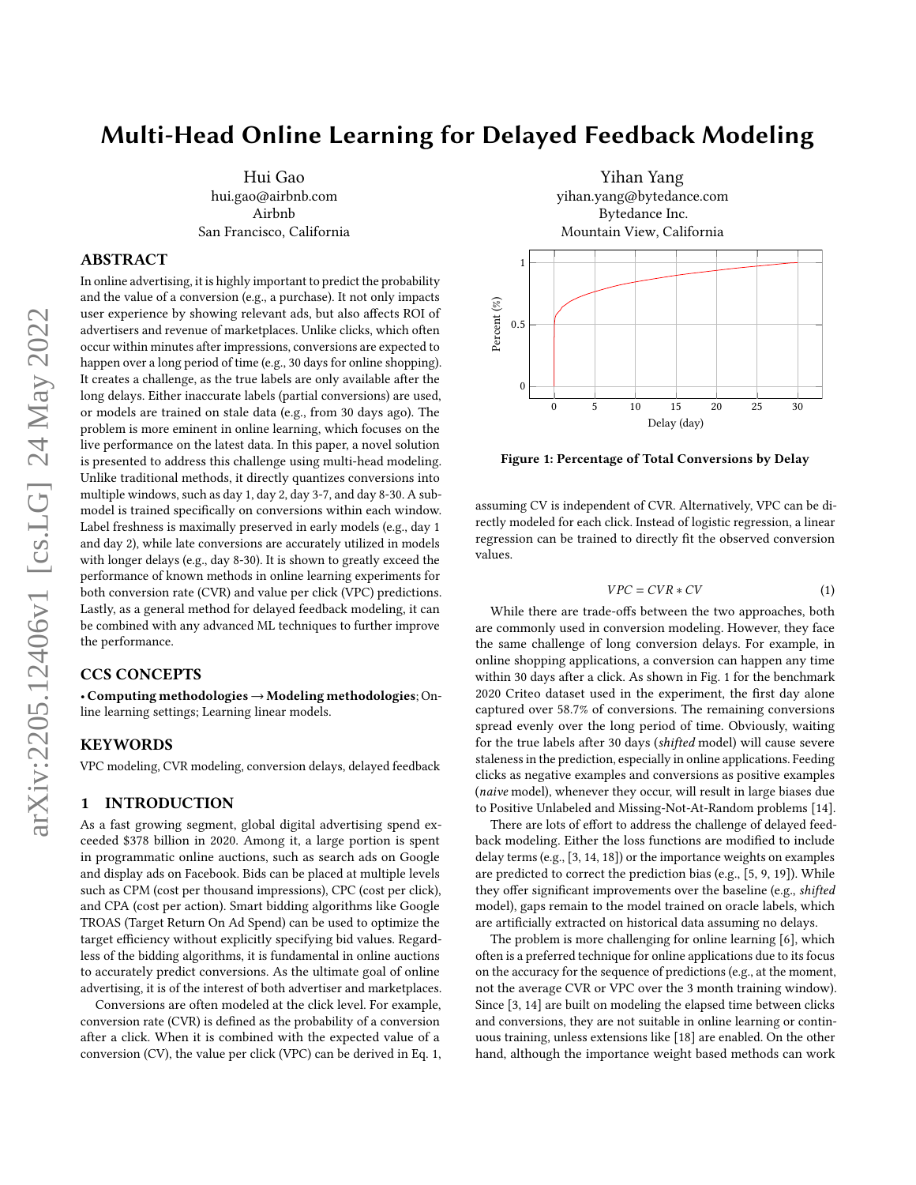# Multi-Head Online Learning for Delayed Feedback Modeling

Hui Gao hui.gao@airbnb.com Airbnb San Francisco, California

## ABSTRACT

In online advertising, it is highly important to predict the probability and the value of a conversion (e.g., a purchase). It not only impacts user experience by showing relevant ads, but also affects ROI of advertisers and revenue of marketplaces. Unlike clicks, which often occur within minutes after impressions, conversions are expected to happen over a long period of time (e.g., 30 days for online shopping). It creates a challenge, as the true labels are only available after the long delays. Either inaccurate labels (partial conversions) are used, or models are trained on stale data (e.g., from 30 days ago). The problem is more eminent in online learning, which focuses on the live performance on the latest data. In this paper, a novel solution is presented to address this challenge using multi-head modeling. Unlike traditional methods, it directly quantizes conversions into multiple windows, such as day 1, day 2, day 3-7, and day 8-30. A submodel is trained specifically on conversions within each window. Label freshness is maximally preserved in early models (e.g., day 1 and day 2), while late conversions are accurately utilized in models with longer delays (e.g., day 8-30). It is shown to greatly exceed the performance of known methods in online learning experiments for both conversion rate (CVR) and value per click (VPC) predictions. Lastly, as a general method for delayed feedback modeling, it can be combined with any advanced ML techniques to further improve the performance.

# CCS CONCEPTS

• Computing methodologies→Modeling methodologies; Online learning settings; Learning linear models.

# **KEYWORDS**

VPC modeling, CVR modeling, conversion delays, delayed feedback

## 1 INTRODUCTION

As a fast growing segment, global digital advertising spend exceeded \$378 billion in 2020. Among it, a large portion is spent in programmatic online auctions, such as search ads on Google and display ads on Facebook. Bids can be placed at multiple levels such as CPM (cost per thousand impressions), CPC (cost per click), and CPA (cost per action). Smart bidding algorithms like Google TROAS (Target Return On Ad Spend) can be used to optimize the target efficiency without explicitly specifying bid values. Regardless of the bidding algorithms, it is fundamental in online auctions to accurately predict conversions. As the ultimate goal of online advertising, it is of the interest of both advertiser and marketplaces.

Conversions are often modeled at the click level. For example, conversion rate (CVR) is defined as the probability of a conversion after a click. When it is combined with the expected value of a conversion (CV), the value per click (VPC) can be derived in Eq. [1,](#page-0-0)

<span id="page-0-1"></span>

Figure 1: Percentage of Total Conversions by Delay

assuming CV is independent of CVR. Alternatively, VPC can be directly modeled for each click. Instead of logistic regression, a linear regression can be trained to directly fit the observed conversion values.

<span id="page-0-0"></span>
$$
VPC = CVR * CV \tag{1}
$$

While there are trade-offs between the two approaches, both are commonly used in conversion modeling. However, they face the same challenge of long conversion delays. For example, in online shopping applications, a conversion can happen any time within 30 days after a click. As shown in Fig. [1](#page-0-1) for the benchmark 2020 Criteo dataset used in the experiment, the first day alone captured over 58.7% of conversions. The remaining conversions spread evenly over the long period of time. Obviously, waiting for the true labels after 30 days (shifted model) will cause severe staleness in the prediction, especially in online applications. Feeding clicks as negative examples and conversions as positive examples (naive model), whenever they occur, will result in large biases due to Positive Unlabeled and Missing-Not-At-Random problems [\[14\]](#page-5-0).

There are lots of effort to address the challenge of delayed feedback modeling. Either the loss functions are modified to include delay terms (e.g., [\[3,](#page-4-0) [14,](#page-5-0) [18\]](#page-5-1)) or the importance weights on examples are predicted to correct the prediction bias (e.g., [\[5,](#page-4-1) [9,](#page-5-2) [19\]](#page-5-3)). While they offer significant improvements over the baseline (e.g., shifted model), gaps remain to the model trained on oracle labels, which are artificially extracted on historical data assuming no delays.

The problem is more challenging for online learning [\[6\]](#page-5-4), which often is a preferred technique for online applications due to its focus on the accuracy for the sequence of predictions (e.g., at the moment, not the average CVR or VPC over the 3 month training window). Since [\[3,](#page-4-0) [14\]](#page-5-0) are built on modeling the elapsed time between clicks and conversions, they are not suitable in online learning or continuous training, unless extensions like [\[18\]](#page-5-1) are enabled. On the other hand, although the importance weight based methods can work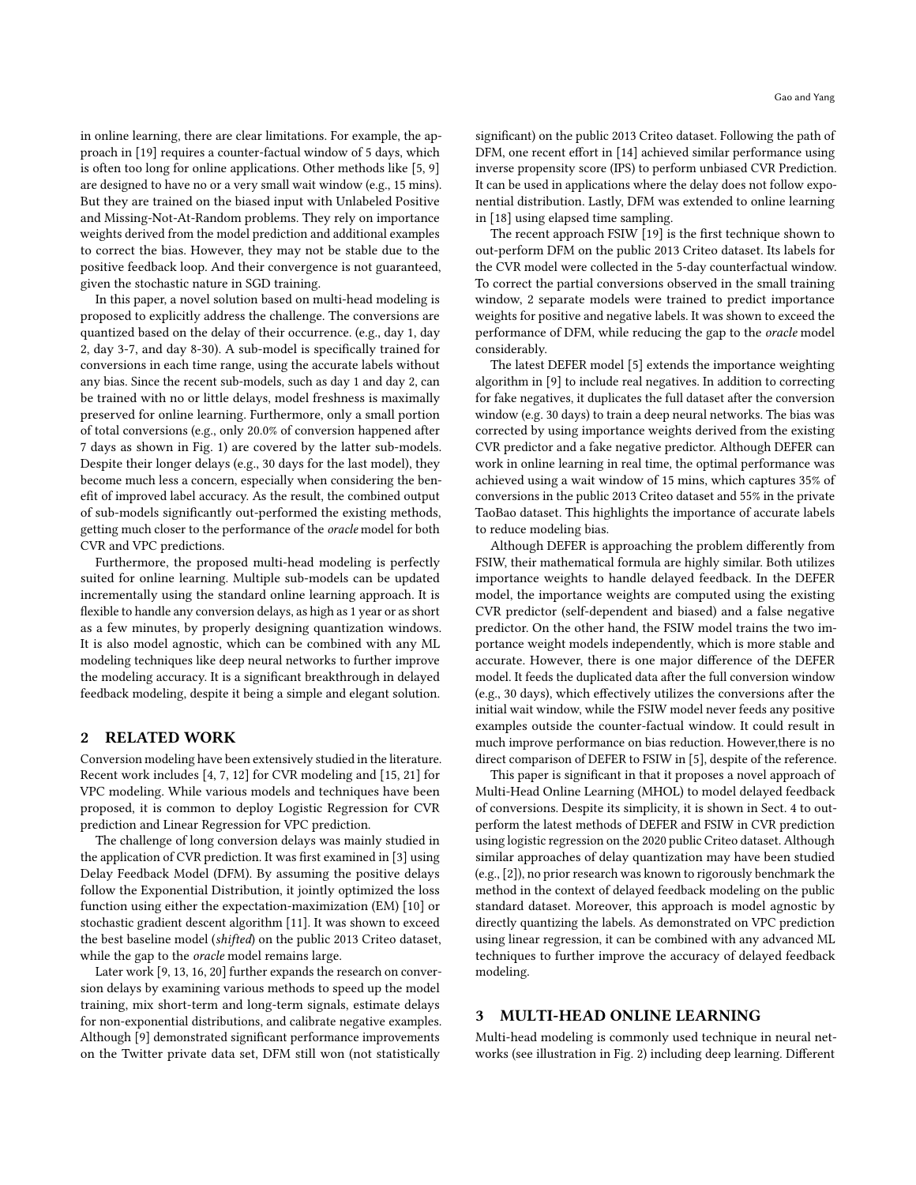in online learning, there are clear limitations. For example, the approach in [\[19\]](#page-5-3) requires a counter-factual window of 5 days, which is often too long for online applications. Other methods like [\[5,](#page-4-1) [9\]](#page-5-2) are designed to have no or a very small wait window (e.g., 15 mins). But they are trained on the biased input with Unlabeled Positive and Missing-Not-At-Random problems. They rely on importance weights derived from the model prediction and additional examples to correct the bias. However, they may not be stable due to the positive feedback loop. And their convergence is not guaranteed, given the stochastic nature in SGD training.

In this paper, a novel solution based on multi-head modeling is proposed to explicitly address the challenge. The conversions are quantized based on the delay of their occurrence. (e.g., day 1, day 2, day 3-7, and day 8-30). A sub-model is specifically trained for conversions in each time range, using the accurate labels without any bias. Since the recent sub-models, such as day 1 and day 2, can be trained with no or little delays, model freshness is maximally preserved for online learning. Furthermore, only a small portion of total conversions (e.g., only 20.0% of conversion happened after 7 days as shown in Fig. [1\)](#page-0-1) are covered by the latter sub-models. Despite their longer delays (e.g., 30 days for the last model), they become much less a concern, especially when considering the benefit of improved label accuracy. As the result, the combined output of sub-models significantly out-performed the existing methods, getting much closer to the performance of the oracle model for both CVR and VPC predictions.

Furthermore, the proposed multi-head modeling is perfectly suited for online learning. Multiple sub-models can be updated incrementally using the standard online learning approach. It is flexible to handle any conversion delays, as high as 1 year or as short as a few minutes, by properly designing quantization windows. It is also model agnostic, which can be combined with any ML modeling techniques like deep neural networks to further improve the modeling accuracy. It is a significant breakthrough in delayed feedback modeling, despite it being a simple and elegant solution.

#### 2 RELATED WORK

Conversion modeling have been extensively studied in the literature. Recent work includes [\[4,](#page-4-2) [7,](#page-5-5) [12\]](#page-5-6) for CVR modeling and [\[15,](#page-5-7) [21\]](#page-5-8) for VPC modeling. While various models and techniques have been proposed, it is common to deploy Logistic Regression for CVR prediction and Linear Regression for VPC prediction.

The challenge of long conversion delays was mainly studied in the application of CVR prediction. It was first examined in [\[3\]](#page-4-0) using Delay Feedback Model (DFM). By assuming the positive delays follow the Exponential Distribution, it jointly optimized the loss function using either the expectation-maximization (EM) [\[10\]](#page-5-9) or stochastic gradient descent algorithm [\[11\]](#page-5-10). It was shown to exceed the best baseline model (shifted) on the public 2013 Criteo dataset, while the gap to the *oracle* model remains large.

Later work [\[9,](#page-5-2) [13,](#page-5-11) [16,](#page-5-12) [20\]](#page-5-13) further expands the research on conversion delays by examining various methods to speed up the model training, mix short-term and long-term signals, estimate delays for non-exponential distributions, and calibrate negative examples. Although [\[9\]](#page-5-2) demonstrated significant performance improvements on the Twitter private data set, DFM still won (not statistically

significant) on the public 2013 Criteo dataset. Following the path of DFM, one recent effort in [\[14\]](#page-5-0) achieved similar performance using inverse propensity score (IPS) to perform unbiased CVR Prediction. It can be used in applications where the delay does not follow exponential distribution. Lastly, DFM was extended to online learning in [\[18\]](#page-5-1) using elapsed time sampling.

The recent approach FSIW [\[19\]](#page-5-3) is the first technique shown to out-perform DFM on the public 2013 Criteo dataset. Its labels for the CVR model were collected in the 5-day counterfactual window. To correct the partial conversions observed in the small training window, 2 separate models were trained to predict importance weights for positive and negative labels. It was shown to exceed the performance of DFM, while reducing the gap to the oracle model considerably.

The latest DEFER model [\[5\]](#page-4-1) extends the importance weighting algorithm in [\[9\]](#page-5-2) to include real negatives. In addition to correcting for fake negatives, it duplicates the full dataset after the conversion window (e.g. 30 days) to train a deep neural networks. The bias was corrected by using importance weights derived from the existing CVR predictor and a fake negative predictor. Although DEFER can work in online learning in real time, the optimal performance was achieved using a wait window of 15 mins, which captures 35% of conversions in the public 2013 Criteo dataset and 55% in the private TaoBao dataset. This highlights the importance of accurate labels to reduce modeling bias.

Although DEFER is approaching the problem differently from FSIW, their mathematical formula are highly similar. Both utilizes importance weights to handle delayed feedback. In the DEFER model, the importance weights are computed using the existing CVR predictor (self-dependent and biased) and a false negative predictor. On the other hand, the FSIW model trains the two importance weight models independently, which is more stable and accurate. However, there is one major difference of the DEFER model. It feeds the duplicated data after the full conversion window (e.g., 30 days), which effectively utilizes the conversions after the initial wait window, while the FSIW model never feeds any positive examples outside the counter-factual window. It could result in much improve performance on bias reduction. However,there is no direct comparison of DEFER to FSIW in [\[5\]](#page-4-1), despite of the reference.

This paper is significant in that it proposes a novel approach of Multi-Head Online Learning (MHOL) to model delayed feedback of conversions. Despite its simplicity, it is shown in Sect. [4](#page-3-0) to outperform the latest methods of DEFER and FSIW in CVR prediction using logistic regression on the 2020 public Criteo dataset. Although similar approaches of delay quantization may have been studied (e.g., [\[2\]](#page-4-3)), no prior research was known to rigorously benchmark the method in the context of delayed feedback modeling on the public standard dataset. Moreover, this approach is model agnostic by directly quantizing the labels. As demonstrated on VPC prediction using linear regression, it can be combined with any advanced ML techniques to further improve the accuracy of delayed feedback modeling.

#### 3 MULTI-HEAD ONLINE LEARNING

Multi-head modeling is commonly used technique in neural networks (see illustration in Fig. [2\)](#page-2-0) including deep learning. Different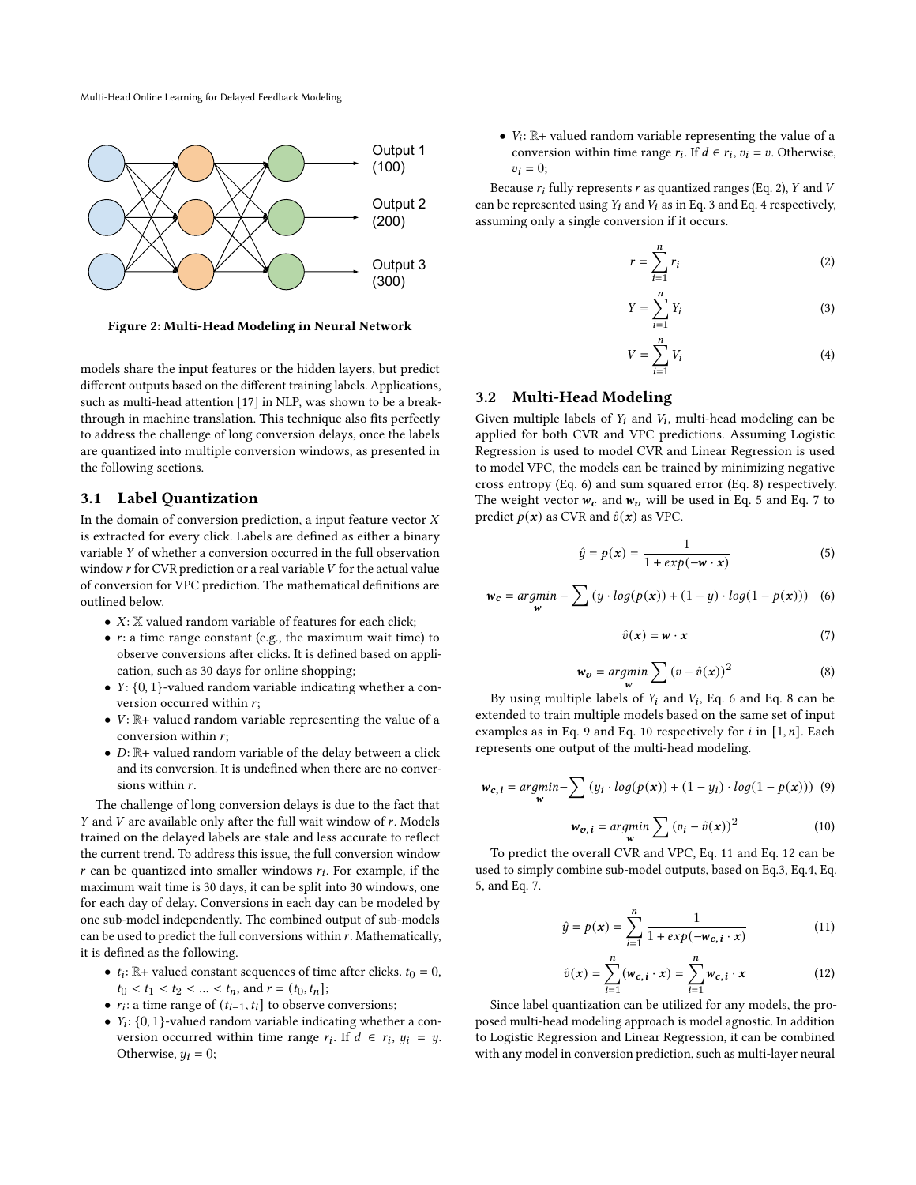Multi-Head Online Learning for Delayed Feedback Modeling

<span id="page-2-0"></span>

Figure 2: Multi-Head Modeling in Neural Network

models share the input features or the hidden layers, but predict different outputs based on the different training labels. Applications, such as multi-head attention [\[17\]](#page-5-14) in NLP, was shown to be a breakthrough in machine translation. This technique also fits perfectly to address the challenge of long conversion delays, once the labels are quantized into multiple conversion windows, as presented in the following sections.

#### 3.1 Label Quantization

In the domain of conversion prediction, a input feature vector  $X$ is extracted for every click. Labels are defined as either a binary variable  $Y$  of whether a conversion occurred in the full observation window  $r$  for CVR prediction or a real variable  $V$  for the actual value of conversion for VPC prediction. The mathematical definitions are outlined below.

- $X: \mathbb{X}$  valued random variable of features for each click;
- $r:$  a time range constant (e.g., the maximum wait time) to observe conversions after clicks. It is defined based on application, such as 30 days for online shopping;
- $Y: \{0, 1\}$ -valued random variable indicating whether a conversion occurred within  $r$ ;
- $V: \mathbb{R}^+$  valued random variable representing the value of a conversion within  $r$ ;
- $D: \mathbb{R}$ + valued random variable of the delay between a click and its conversion. It is undefined when there are no conversions within  $r$ .

The challenge of long conversion delays is due to the fact that  $Y$  and  $V$  are available only after the full wait window of  $r$ . Models trained on the delayed labels are stale and less accurate to reflect the current trend. To address this issue, the full conversion window  $r$  can be quantized into smaller windows  $r_i$ . For example, if the maximum wait time is 30 days, it can be split into 30 windows, one for each day of delay. Conversions in each day can be modeled by one sub-model independently. The combined output of sub-models can be used to predict the full conversions within  $r$ . Mathematically, it is defined as the following.

- $t_i$ :  $\mathbb{R}$ + valued constant sequences of time after clicks.  $t_0 = 0$ ,  $t_0 < t_1 < t_2 < ... < t_n$ , and  $r = (t_0, t_n]$ ;
- $r_i$ : a time range of  $(t_{i-1}, t_i]$  to observe conversions;
- $Y_i$ : {0, 1}-valued random variable indicating whether a conversion occurred within time range  $r_i$ . If  $d \in r_i$ ,  $y_i = y$ . Otherwise,  $y_i = 0$ ;

•  $V_i$ :  $\mathbb{R}$ + valued random variable representing the value of a conversion within time range  $r_i$ . If  $d \in r_i$ ,  $v_i = v$ . Otherwise,  $v_i = 0;$ 

Because  $r_i$  fully represents  $r$  as quantized ranges (Eq. [2\)](#page-2-1),  $Y$  and  $V$ can be represented using  $Y_i$  and  $V_i$  as in Eq. [3](#page-2-2) and Eq. [4](#page-2-3) respectively, assuming only a single conversion if it occurs.

<span id="page-2-1"></span>
$$
r = \sum_{i=1}^{n} r_i
$$
 (2)

<span id="page-2-2"></span>
$$
Y = \sum_{i=1}^{n} Y_i
$$
 (3)

<span id="page-2-3"></span>
$$
V = \sum_{i=1}^{n} V_i
$$
 (4)

#### 3.2 Multi-Head Modeling

Given multiple labels of  $Y_i$  and  $V_i$ , multi-head modeling can be applied for both CVR and VPC predictions. Assuming Logistic Regression is used to model CVR and Linear Regression is used to model VPC, the models can be trained by minimizing negative cross entropy (Eq. [6\)](#page-2-4) and sum squared error (Eq. [8\)](#page-2-5) respectively. The weight vector  $w_c$  and  $w_v$  will be used in Eq. [5](#page-2-6) and Eq. [7](#page-2-7) to predict  $p(x)$  as CVR and  $\hat{v}(x)$  as VPC.

<span id="page-2-6"></span>
$$
\hat{y} = p(x) = \frac{1}{1 + exp(-w \cdot x)}
$$
\n(5)

<span id="page-2-4"></span>
$$
w_c = \underset{w}{argmin} - \sum (y \cdot log(p(x)) + (1 - y) \cdot log(1 - p(x))) \quad (6)
$$

<span id="page-2-7"></span>
$$
\hat{v}(\mathbf{x}) = \mathbf{w} \cdot \mathbf{x} \tag{7}
$$

<span id="page-2-5"></span>
$$
w_v = \underset{w}{\operatorname{argmin}} \sum (v - \hat{v}(x))^2 \tag{8}
$$

By using multiple labels of  $Y_i$  and  $V_i$ , Eq. [6](#page-2-4) and Eq. [8](#page-2-5) can be extended to train multiple models based on the same set of input examples as in Eq. [9](#page-2-8) and Eq. [10](#page-2-9) respectively for  $i$  in  $[1, n]$ . Each represents one output of the multi-head modeling.

<span id="page-2-8"></span>
$$
\mathbf{w}_{c,i} = \underset{\mathbf{w}}{\operatorname{argmin}} - \sum (y_i \cdot \log(p(\mathbf{x})) + (1 - y_i) \cdot \log(1 - p(\mathbf{x}))) \tag{9}
$$

<span id="page-2-9"></span>
$$
\mathbf{w}_{v,i} = \underset{\mathbf{w}}{\operatorname{argmin}} \sum (\mathbf{v}_i - \hat{v}(\mathbf{x}))^2 \tag{10}
$$

To predict the overall CVR and VPC, Eq. [11](#page-2-10) and Eq. [12](#page-2-11) can be used to simply combine sub-model outputs, based on Eq[.3,](#page-2-2) Eq[.4,](#page-2-3) Eq. [5,](#page-2-6) and Eq. [7.](#page-2-7)

<span id="page-2-10"></span>
$$
\hat{y} = p(x) = \sum_{i=1}^{n} \frac{1}{1 + exp(-w_{c,i} \cdot x)}
$$
(11)

<span id="page-2-11"></span>
$$
\hat{v}(\mathbf{x}) = \sum_{i=1}^{n} (\mathbf{w}_{c,i} \cdot \mathbf{x}) = \sum_{i=1}^{n} \mathbf{w}_{c,i} \cdot \mathbf{x}
$$
 (12)

Since label quantization can be utilized for any models, the proposed multi-head modeling approach is model agnostic. In addition to Logistic Regression and Linear Regression, it can be combined with any model in conversion prediction, such as multi-layer neural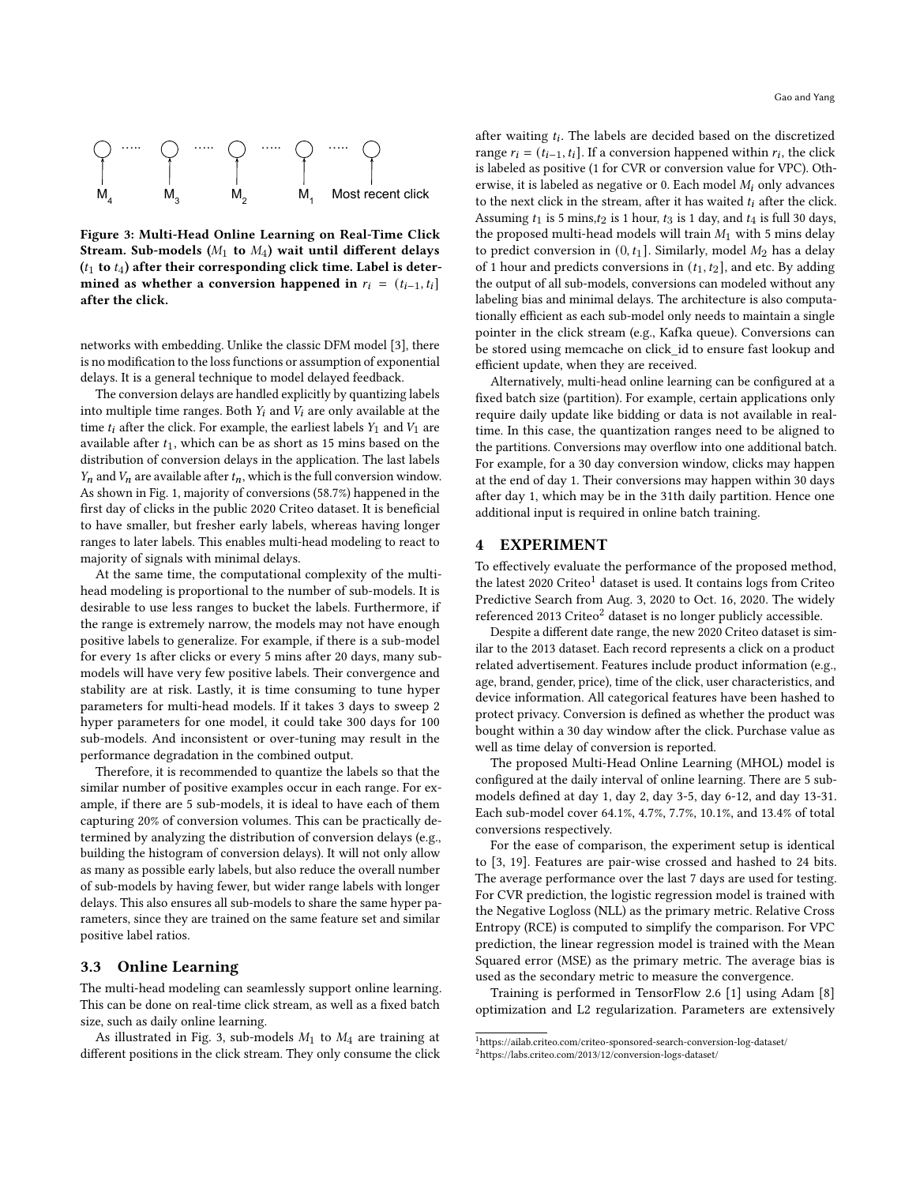<span id="page-3-1"></span>

Figure 3: Multi-Head Online Learning on Real-Time Click Stream. Sub-models  $(M_1 \text{ to } M_4)$  wait until different delays  $(t_1$  to  $t_4$ ) after their corresponding click time. Label is determined as whether a conversion happened in  $r_i = (t_{i-1}, t_i]$ after the click.

networks with embedding. Unlike the classic DFM model [\[3\]](#page-4-0), there is no modification to the loss functions or assumption of exponential delays. It is a general technique to model delayed feedback.

The conversion delays are handled explicitly by quantizing labels into multiple time ranges. Both  $Y_i$  and  $V_i$  are only available at the time  $t_i$  after the click. For example, the earliest labels  $Y_1$  and  $V_1$  are available after  $t_1$ , which can be as short as 15 mins based on the distribution of conversion delays in the application. The last labels  $Y_n$  and  $V_n$  are available after  $t_n$ , which is the full conversion window. As shown in Fig. [1,](#page-0-1) majority of conversions (58.7%) happened in the first day of clicks in the public 2020 Criteo dataset. It is beneficial to have smaller, but fresher early labels, whereas having longer ranges to later labels. This enables multi-head modeling to react to majority of signals with minimal delays.

At the same time, the computational complexity of the multihead modeling is proportional to the number of sub-models. It is desirable to use less ranges to bucket the labels. Furthermore, if the range is extremely narrow, the models may not have enough positive labels to generalize. For example, if there is a sub-model for every 1s after clicks or every 5 mins after 20 days, many submodels will have very few positive labels. Their convergence and stability are at risk. Lastly, it is time consuming to tune hyper parameters for multi-head models. If it takes 3 days to sweep 2 hyper parameters for one model, it could take 300 days for 100 sub-models. And inconsistent or over-tuning may result in the performance degradation in the combined output.

Therefore, it is recommended to quantize the labels so that the similar number of positive examples occur in each range. For example, if there are 5 sub-models, it is ideal to have each of them capturing 20% of conversion volumes. This can be practically determined by analyzing the distribution of conversion delays (e.g., building the histogram of conversion delays). It will not only allow as many as possible early labels, but also reduce the overall number of sub-models by having fewer, but wider range labels with longer delays. This also ensures all sub-models to share the same hyper parameters, since they are trained on the same feature set and similar positive label ratios.

#### 3.3 Online Learning

The multi-head modeling can seamlessly support online learning. This can be done on real-time click stream, as well as a fixed batch size, such as daily online learning.

As illustrated in Fig. [3,](#page-3-1) sub-models  $M_1$  to  $M_4$  are training at different positions in the click stream. They only consume the click

after waiting  $t_i$ . The labels are decided based on the discretized range  $r_i = (t_{i-1}, t_i]$ . If a conversion happened within  $r_i$ , the click is labeled as positive (1 for CVR or conversion value for VPC). Otherwise, it is labeled as negative or 0. Each model  $M_i$  only advances to the next click in the stream, after it has waited  $t_i$  after the click. Assuming  $t_1$  is 5 mins, $t_2$  is 1 hour,  $t_3$  is 1 day, and  $t_4$  is full 30 days, the proposed multi-head models will train  $M_1$  with 5 mins delay to predict conversion in  $(0, t<sub>1</sub>]$ . Similarly, model  $M<sub>2</sub>$  has a delay of 1 hour and predicts conversions in  $(t_1, t_2]$ , and etc. By adding the output of all sub-models, conversions can modeled without any labeling bias and minimal delays. The architecture is also computationally efficient as each sub-model only needs to maintain a single pointer in the click stream (e.g., Kafka queue). Conversions can be stored using memcache on click\_id to ensure fast lookup and efficient update, when they are received.

Alternatively, multi-head online learning can be configured at a fixed batch size (partition). For example, certain applications only require daily update like bidding or data is not available in realtime. In this case, the quantization ranges need to be aligned to the partitions. Conversions may overflow into one additional batch. For example, for a 30 day conversion window, clicks may happen at the end of day 1. Their conversions may happen within 30 days after day 1, which may be in the 31th daily partition. Hence one additional input is required in online batch training.

#### <span id="page-3-0"></span>4 EXPERIMENT

To effectively evaluate the performance of the proposed method, the latest 2020 Criteo<sup>[1](#page-3-2)</sup> dataset is used. It contains logs from Criteo Predictive Search from Aug. 3, 2020 to Oct. 16, 2020. The widely referenced [2](#page-3-3)013 Criteo<sup>2</sup> dataset is no longer publicly accessible.

Despite a different date range, the new 2020 Criteo dataset is similar to the 2013 dataset. Each record represents a click on a product related advertisement. Features include product information (e.g., age, brand, gender, price), time of the click, user characteristics, and device information. All categorical features have been hashed to protect privacy. Conversion is defined as whether the product was bought within a 30 day window after the click. Purchase value as well as time delay of conversion is reported.

The proposed Multi-Head Online Learning (MHOL) model is configured at the daily interval of online learning. There are 5 submodels defined at day 1, day 2, day 3-5, day 6-12, and day 13-31. Each sub-model cover 64.1%, 4.7%, 7.7%, 10.1%, and 13.4% of total conversions respectively.

For the ease of comparison, the experiment setup is identical to [\[3,](#page-4-0) [19\]](#page-5-3). Features are pair-wise crossed and hashed to 24 bits. The average performance over the last 7 days are used for testing. For CVR prediction, the logistic regression model is trained with the Negative Logloss (NLL) as the primary metric. Relative Cross Entropy (RCE) is computed to simplify the comparison. For VPC prediction, the linear regression model is trained with the Mean Squared error (MSE) as the primary metric. The average bias is used as the secondary metric to measure the convergence.

Training is performed in TensorFlow 2.6 [\[1\]](#page-4-4) using Adam [\[8\]](#page-5-15) optimization and L2 regularization. Parameters are extensively

<span id="page-3-3"></span><span id="page-3-2"></span> $^1$ https://ailab.criteo.com/criteo-sponsored-search-conversion-log-dataset/  $\,$ <sup>2</sup>https://labs.criteo.com/2013/12/conversion-logs-dataset/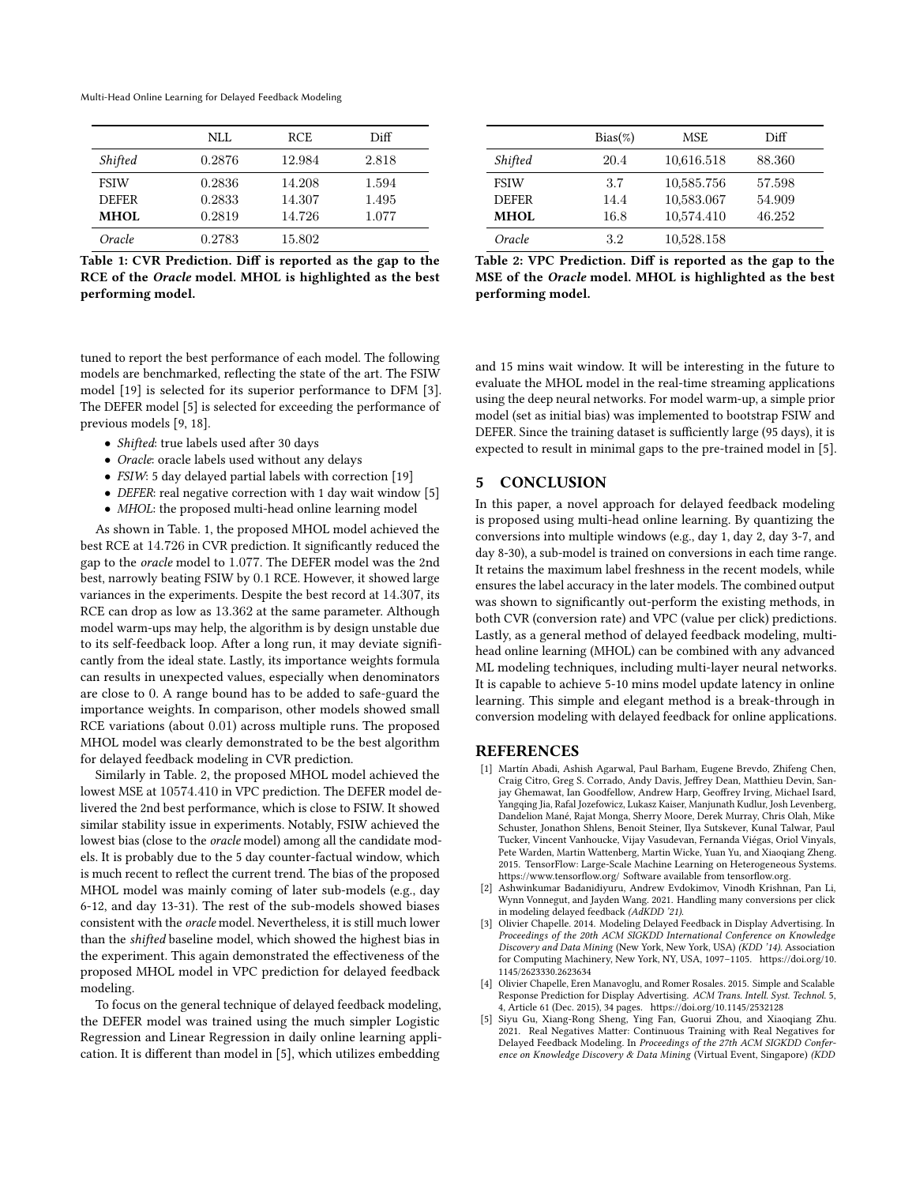Multi-Head Online Learning for Delayed Feedback Modeling

<span id="page-4-5"></span>

| NLL.   | <b>RCE</b> | Diff  |
|--------|------------|-------|
| 0.2876 | 12.984     | 2.818 |
| 0.2836 | 14.208     | 1.594 |
| 0.2833 | 14.307     | 1.495 |
| 0.2819 | 14.726     | 1.077 |
| 0.2783 | 15.802     |       |
|        |            |       |

Table 1: CVR Prediction. Diff is reported as the gap to the RCE of the Oracle model. MHOL is highlighted as the best performing model.

<span id="page-4-6"></span>

|                       | $Bias(\%)$ | MSE.       | Diff   |
|-----------------------|------------|------------|--------|
| <i><b>Shifted</b></i> | 20.4       | 10,616.518 | 88.360 |
| <b>FSIW</b>           | 3.7        | 10,585.756 | 57.598 |
| <b>DEFER</b>          | 14.4       | 10,583.067 | 54.909 |
| <b>MHOL</b>           | 16.8       | 10,574.410 | 46.252 |
| Oracle                | 32         | 10,528.158 |        |

Table 2: VPC Prediction. Diff is reported as the gap to the MSE of the Oracle model. MHOL is highlighted as the best performing model.

tuned to report the best performance of each model. The following models are benchmarked, reflecting the state of the art. The FSIW model [\[19\]](#page-5-3) is selected for its superior performance to DFM [\[3\]](#page-4-0). The DEFER model [\[5\]](#page-4-1) is selected for exceeding the performance of previous models [\[9,](#page-5-2) [18\]](#page-5-1).

- Shifted: true labels used after 30 days
- Oracle: oracle labels used without any delays
- FSIW: 5 day delayed partial labels with correction [\[19\]](#page-5-3)
- DEFER: real negative correction with 1 day wait window [\[5\]](#page-4-1)
- MHOL: the proposed multi-head online learning model

As shown in Table. [1,](#page-4-5) the proposed MHOL model achieved the best RCE at 14.726 in CVR prediction. It significantly reduced the gap to the oracle model to 1.077. The DEFER model was the 2nd best, narrowly beating FSIW by 0.1 RCE. However, it showed large variances in the experiments. Despite the best record at 14.307, its RCE can drop as low as 13.362 at the same parameter. Although model warm-ups may help, the algorithm is by design unstable due to its self-feedback loop. After a long run, it may deviate significantly from the ideal state. Lastly, its importance weights formula can results in unexpected values, especially when denominators are close to 0. A range bound has to be added to safe-guard the importance weights. In comparison, other models showed small RCE variations (about 0.01) across multiple runs. The proposed MHOL model was clearly demonstrated to be the best algorithm for delayed feedback modeling in CVR prediction.

Similarly in Table. [2,](#page-4-6) the proposed MHOL model achieved the lowest MSE at 10574.410 in VPC prediction. The DEFER model delivered the 2nd best performance, which is close to FSIW. It showed similar stability issue in experiments. Notably, FSIW achieved the lowest bias (close to the oracle model) among all the candidate models. It is probably due to the 5 day counter-factual window, which is much recent to reflect the current trend. The bias of the proposed MHOL model was mainly coming of later sub-models (e.g., day 6-12, and day 13-31). The rest of the sub-models showed biases consistent with the oracle model. Nevertheless, it is still much lower than the shifted baseline model, which showed the highest bias in the experiment. This again demonstrated the effectiveness of the proposed MHOL model in VPC prediction for delayed feedback modeling.

To focus on the general technique of delayed feedback modeling, the DEFER model was trained using the much simpler Logistic Regression and Linear Regression in daily online learning application. It is different than model in [\[5\]](#page-4-1), which utilizes embedding

and 15 mins wait window. It will be interesting in the future to evaluate the MHOL model in the real-time streaming applications using the deep neural networks. For model warm-up, a simple prior model (set as initial bias) was implemented to bootstrap FSIW and DEFER. Since the training dataset is sufficiently large (95 days), it is expected to result in minimal gaps to the pre-trained model in [\[5\]](#page-4-1).

### 5 CONCLUSION

In this paper, a novel approach for delayed feedback modeling is proposed using multi-head online learning. By quantizing the conversions into multiple windows (e.g., day 1, day 2, day 3-7, and day 8-30), a sub-model is trained on conversions in each time range. It retains the maximum label freshness in the recent models, while ensures the label accuracy in the later models. The combined output was shown to significantly out-perform the existing methods, in both CVR (conversion rate) and VPC (value per click) predictions. Lastly, as a general method of delayed feedback modeling, multihead online learning (MHOL) can be combined with any advanced ML modeling techniques, including multi-layer neural networks. It is capable to achieve 5-10 mins model update latency in online learning. This simple and elegant method is a break-through in conversion modeling with delayed feedback for online applications.

#### REFERENCES

- <span id="page-4-4"></span>[1] Martín Abadi, Ashish Agarwal, Paul Barham, Eugene Brevdo, Zhifeng Chen, Craig Citro, Greg S. Corrado, Andy Davis, Jeffrey Dean, Matthieu Devin, Sanjay Ghemawat, Ian Goodfellow, Andrew Harp, Geoffrey Irving, Michael Isard, Yangqing Jia, Rafal Jozefowicz, Lukasz Kaiser, Manjunath Kudlur, Josh Levenberg, Dandelion Mané, Rajat Monga, Sherry Moore, Derek Murray, Chris Olah, Mike Schuster, Jonathon Shlens, Benoit Steiner, Ilya Sutskever, Kunal Talwar, Paul Tucker, Vincent Vanhoucke, Vijay Vasudevan, Fernanda Viégas, Oriol Vinyals, Pete Warden, Martin Wattenberg, Martin Wicke, Yuan Yu, and Xiaoqiang Zheng. 2015. TensorFlow: Large-Scale Machine Learning on Heterogeneous Systems. <https://www.tensorflow.org/> Software available from tensorflow.org.
- <span id="page-4-3"></span>[2] Ashwinkumar Badanidiyuru, Andrew Evdokimov, Vinodh Krishnan, Pan Li, Wynn Vonnegut, and Jayden Wang. 2021. Handling many conversions per click in modeling delayed feedback (AdKDD '21).
- <span id="page-4-0"></span>[3] Olivier Chapelle. 2014. Modeling Delayed Feedback in Display Advertising. In Proceedings of the 20th ACM SIGKDD International Conference on Knowledge Discovery and Data Mining (New York, New York, USA) (KDD '14). Association for Computing Machinery, New York, NY, USA, 1097–1105. [https://doi.org/10.](https://doi.org/10.1145/2623330.2623634) [1145/2623330.2623634](https://doi.org/10.1145/2623330.2623634)
- <span id="page-4-2"></span>[4] Olivier Chapelle, Eren Manavoglu, and Romer Rosales. 2015. Simple and Scalable Response Prediction for Display Advertising. ACM Trans. Intell. Syst. Technol. 5, 4, Article 61 (Dec. 2015), 34 pages.<https://doi.org/10.1145/2532128>
- <span id="page-4-1"></span>[5] Siyu Gu, Xiang-Rong Sheng, Ying Fan, Guorui Zhou, and Xiaoqiang Zhu. 2021. Real Negatives Matter: Continuous Training with Real Negatives for Delayed Feedback Modeling. In Proceedings of the 27th ACM SIGKDD Conference on Knowledge Discovery & Data Mining (Virtual Event, Singapore) (KDD